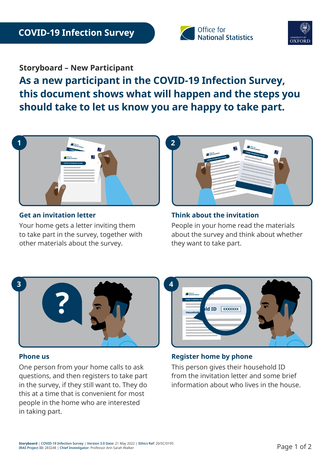



# **Storyboard – New Participant**

**As a new participant in the COVID-19 Infection Survey, this document shows what will happen and the steps you should take to let us know you are happy to take part.** 



#### **Get an invitation letter**

Your home gets a letter inviting them to take part in the survey, together with other materials about the survey.



#### **Think about the invitation**

People in your home read the materials about the survey and think about whether they want to take part.



#### **Phone us**

One person from your home calls to ask questions, and then registers to take part in the survey, if they still want to. They do this at a time that is convenient for most people in the home who are interested in taking part.



## **Register home by phone**

This person gives their household ID from the invitation letter and some brief information about who lives in the house.